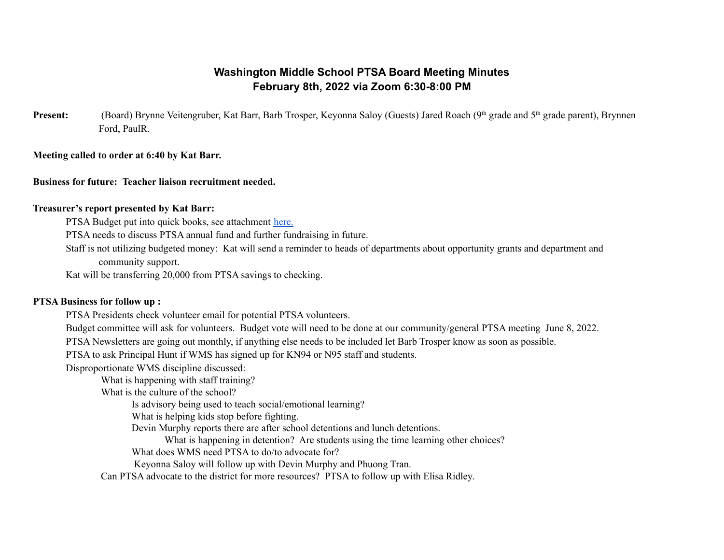# **Washington Middle School PTSA Board Meeting Minutes February 8th, 2022 via Zoom 6:30-8:00 PM**

Present: (Board) Brynne Veitengruber, Kat Barr, Barb Trosper, Keyonna Saloy (Guests) Jared Roach (9<sup>th</sup> grade and 5<sup>th</sup> grade parent), Brynnen Ford, PaulR.

**Meeting called to order at 6:40 by Kat Barr.**

**Business for future: Teacher liaison recruitment needed.**

## **Treasurer's report presented by Kat Barr:**

PTSA Budget put into quick books, see attachment [here.](https://drive.google.com/file/d/1PzyJCy9msblE3fVba_0lKPNcBe8bZhDs/view?usp=sharing)

PTSA needs to discuss PTSA annual fund and further fundraising in future.

Staff is not utilizing budgeted money: Kat will send a reminder to heads of departments about opportunity grants and department and community support.

Kat will be transferring 20,000 from PTSA savings to checking.

## **PTSA Business for follow up :**

PTSA Presidents check volunteer email for potential PTSA volunteers.

Budget committee will ask for volunteers. Budget vote will need to be done at our community/general PTSA meeting June 8, 2022.

PTSA Newsletters are going out monthly, if anything else needs to be included let Barb Trosper know as soon as possible.

PTSA to ask Principal Hunt if WMS has signed up for KN94 or N95 staff and students.

Disproportionate WMS discipline discussed:

What is happening with staff training?

What is the culture of the school?

Is advisory being used to teach social/emotional learning?

What is helping kids stop before fighting.

Devin Murphy reports there are after school detentions and lunch detentions.

What is happening in detention? Are students using the time learning other choices?

What does WMS need PTSA to do/to advocate for?

Keyonna Saloy will follow up with Devin Murphy and Phuong Tran.

Can PTSA advocate to the district for more resources? PTSA to follow up with Elisa Ridley.